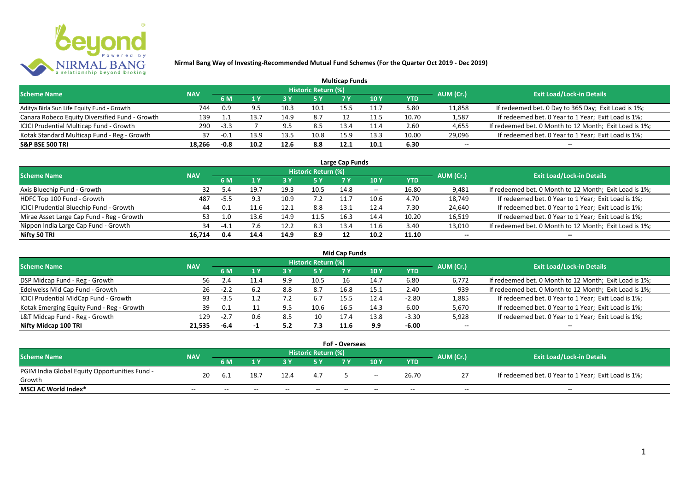

|                                                |            |        |      |           |                            | <b>Multicap Funds</b> |                 |            |           |                                                        |
|------------------------------------------------|------------|--------|------|-----------|----------------------------|-----------------------|-----------------|------------|-----------|--------------------------------------------------------|
| <b>Scheme Name</b>                             | <b>NAV</b> |        |      |           | <b>Historic Return (%)</b> |                       |                 |            | AUM (Cr.) | <b>Exit Load/Lock-in Details</b>                       |
|                                                |            | 6 M    |      | <b>3Y</b> | /5 Y                       |                       | 10 <sub>Y</sub> | <b>YTD</b> |           |                                                        |
| Aditya Birla Sun Life Equity Fund - Growth     | 744        | 0.9    |      | 10.3      | 10.1                       | 15.5                  | 11.7            | 5.80       | 11,858    | If redeemed bet. 0 Day to 365 Day; Exit Load is 1%;    |
| Canara Robeco Equity Diversified Fund - Growth | 139        |        |      | 14.9      | 8.7                        |                       | 11.5            | 10.70      | 1,587     | If redeemed bet. 0 Year to 1 Year; Exit Load is 1%;    |
| ICICI Prudential Multicap Fund - Growth        | 290        | $-3.3$ |      | 9.5       | 8.5                        | 13.4                  |                 | 2.60       | 4,655     | If redeemed bet. 0 Month to 12 Month; Exit Load is 1%; |
| Kotak Standard Multicap Fund - Reg - Growth    | 37         | $-0.1$ | ۹ ج۱ | 13.5      | 10.8                       | 15.9                  | 13.3            | 10.00      | 29,096    | If redeemed bet. 0 Year to 1 Year; Exit Load is 1%;    |
| <b>S&amp;P BSE 500 TRI</b>                     | 18.266     | $-0.8$ | 10.2 | 12.6      | 8.8                        | 12.1                  | 10.1            | 6.30       | $- -$     | --                                                     |

| Large Cap Funds                           |            |        |           |      |                            |      |            |       |           |                                                        |  |  |  |
|-------------------------------------------|------------|--------|-----------|------|----------------------------|------|------------|-------|-----------|--------------------------------------------------------|--|--|--|
| <b>Scheme Name</b>                        | <b>NAV</b> |        |           |      | <b>Historic Return (%)</b> |      |            |       | AUM (Cr.) | <b>Exit Load/Lock-in Details</b>                       |  |  |  |
|                                           |            | 6 M    | <b>AV</b> |      | <b>5 Y</b>                 | 7 Y  | <b>10Y</b> | YTD   |           |                                                        |  |  |  |
| Axis Bluechip Fund - Growth               | 32         | 54     | 19.7      | 19.3 | 10.5                       | 14.8 | $- -$      | 16.80 | 9,481     | If redeemed bet. 0 Month to 12 Month; Exit Load is 1%; |  |  |  |
| HDFC Top 100 Fund - Growth                | 487        | $-5.5$ | 9.3       | 10.9 |                            |      | 10.6       | 4.70  | 18,749    | If redeemed bet. 0 Year to 1 Year; Exit Load is 1%;    |  |  |  |
| ICICI Prudential Bluechip Fund - Growth   | 44         | 0.1    | 11.6      | 12.1 | 8.8                        | 13.1 | 12.4       | 7.30  | 24,640    | If redeemed bet. 0 Year to 1 Year; Exit Load is 1%;    |  |  |  |
| Mirae Asset Large Cap Fund - Reg - Growth | 53.        | 1.0    | 13.6      | 14.9 | 11.5                       | 16.3 | 14.4       | 10.20 | 16,519    | If redeemed bet. 0 Year to 1 Year; Exit Load is 1%;    |  |  |  |
| Nippon India Large Cap Fund - Growth      | 34         | $-4$ 1 | 7.6       | 12.2 | 8.3                        | 13.4 | 11.6       | 3.40  | 13,010    | If redeemed bet. 0 Month to 12 Month; Exit Load is 1%; |  |  |  |
| Nifty 50 TRI                              | 16.714     | 0.4    | 14.4      | 14.9 | 8.9                        | 12   | 10.2       | 11.10 | $- -$     | $- -$                                                  |  |  |  |

| Mid Cap Funds                             |            |        |      |     |                            |      |      |            |           |                                                        |  |  |  |
|-------------------------------------------|------------|--------|------|-----|----------------------------|------|------|------------|-----------|--------------------------------------------------------|--|--|--|
| <b>Scheme Name</b>                        | <b>NAV</b> |        |      |     | <b>Historic Return (%)</b> |      |      |            | AUM (Cr.) | <b>Exit Load/Lock-in Details</b>                       |  |  |  |
|                                           |            | 6 M    |      |     | 5 Y                        | 7 Y  | 10 Y | <b>YTD</b> |           |                                                        |  |  |  |
| DSP Midcap Fund - Reg - Growth            | 56         | 2.4    |      | 9.9 | 10.5                       |      | 14.7 | 6.80       | 6,772     | If redeemed bet. 0 Month to 12 Month; Exit Load is 1%; |  |  |  |
| Edelweiss Mid Cap Fund - Growth           | 26         | $-2.2$ | -6.2 | 8.8 | 8.7                        | 16.8 | 15.1 | 2.40       | 939       | If redeemed bet. 0 Month to 12 Month; Exit Load is 1%; |  |  |  |
| ICICI Prudential MidCap Fund - Growth     | 93         | -3.5   |      |     | 6.7                        | 15.5 | 12.4 | $-2.80$    | 1,885     | If redeemed bet. 0 Year to 1 Year; Exit Load is 1%;    |  |  |  |
| Kotak Emerging Equity Fund - Reg - Growth | 39         | 0.1    |      | 9.5 | 10.6                       | 16.5 | 14.3 | 6.00       | 5,670     | If redeemed bet. 0 Year to 1 Year; Exit Load is 1%;    |  |  |  |
| L&T Midcap Fund - Reg - Growth            | 129        | $-2.7$ | 0.6  | 8.5 | 10                         | 17.4 | 13.8 | $-3.30$    | 5,928     | If redeemed bet. 0 Year to 1 Year; Exit Load is 1%;    |  |  |  |
| Nifty Midcap 100 TRI                      | 21.535     | -6.4   |      |     | 7.3                        | 11.6 | 9.9  | $-6.00$    | $- -$     | $- -$                                                  |  |  |  |

|                                               |            |       |       |       |                     | <b>FoF - Overseas</b> |                          |       |           |                                                     |
|-----------------------------------------------|------------|-------|-------|-------|---------------------|-----------------------|--------------------------|-------|-----------|-----------------------------------------------------|
| <b>Scheme Name</b>                            | <b>NAV</b> |       |       |       | Historic Return (%) |                       |                          |       |           | <b>Exit Load/Lock-in Details</b>                    |
|                                               |            | 6 M   |       |       |                     |                       | 10Y                      | YTD   | AUM (Cr.) |                                                     |
| PGIM India Global Equity Opportunities Fund - |            |       | 18.7  | 12.4  | 4.7                 |                       |                          | 26.70 |           | If redeemed bet. 0 Year to 1 Year; Exit Load is 1%; |
| Growth                                        |            | -6.1  |       |       |                     |                       | $- -$                    |       |           |                                                     |
| MSCI AC World Index*                          | $- -$      | $- -$ | $- -$ | $- -$ | $- -$               | $- -$                 | $\overline{\phantom{a}}$ | $- -$ | $- -$     | $- -$                                               |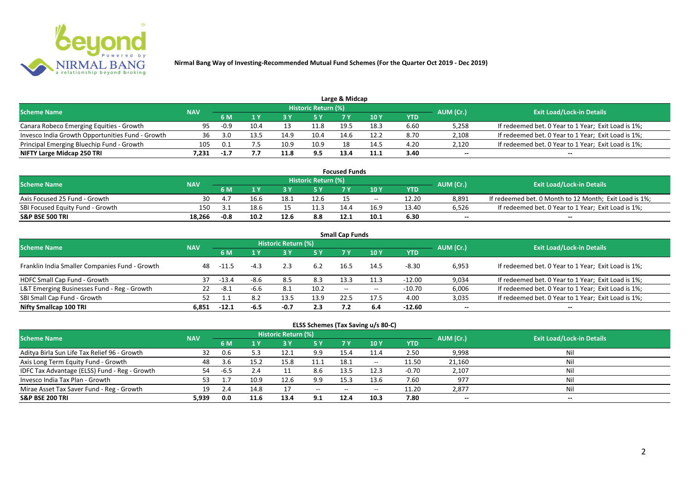

| Large & Midcap                                   |            |        |      |      |                     |      |      |      |           |                                                     |  |  |  |
|--------------------------------------------------|------------|--------|------|------|---------------------|------|------|------|-----------|-----------------------------------------------------|--|--|--|
| <b>Scheme Name</b>                               | <b>NAV</b> |        |      |      | Historic Return (%) |      |      |      | AUM (Cr.) | <b>Exit Load/Lock-in Details</b>                    |  |  |  |
|                                                  |            |        |      |      | 5 Y                 |      | 10Y  | YTD  |           |                                                     |  |  |  |
| Canara Robeco Emerging Equities - Growth         | 95         | $-0.9$ | 10.4 |      | 11.8                | 19.5 | 18.3 | 6.60 | 5,258     | If redeemed bet. 0 Year to 1 Year; Exit Load is 1%; |  |  |  |
| Invesco India Growth Opportunities Fund - Growth | 36         | 3.0    | 13.5 | 14.9 | 10.4                | 14.6 | 12.2 | 8.70 | 2,108     | If redeemed bet. 0 Year to 1 Year; Exit Load is 1%; |  |  |  |
| Principal Emerging Bluechip Fund - Growth        | 105        | 0.1    |      | 10.9 | 10.9                | 18   | 14.5 | 4.20 | 2,120     | If redeemed bet. 0 Year to 1 Year; Exit Load is 1%; |  |  |  |
| NIFTY Large Midcap 250 TRI                       | /.231      | -1.7   |      | 11.8 | 9.5                 | 13.4 | 11.1 | 3.40 | $- -$     | $- -$                                               |  |  |  |

| <b>Focused Funds</b>             |            |                                  |      |      |      |      |            |       |       |                                                        |  |  |
|----------------------------------|------------|----------------------------------|------|------|------|------|------------|-------|-------|--------------------------------------------------------|--|--|
| <b>Scheme Name</b>               | AUM (Cr.)  | <b>Exit Load/Lock-in Details</b> |      |      |      |      |            |       |       |                                                        |  |  |
|                                  | <b>NAV</b> | 6 M                              |      |      | 5 Y  |      | <b>10Y</b> | YTD   |       |                                                        |  |  |
| Axis Focused 25 Fund - Growth    | 30         | 4.                               | 16.6 | 18.1 | 12.6 |      | $- -$      | 12.20 | 8.891 | If redeemed bet. 0 Month to 12 Month; Exit Load is 1%; |  |  |
| SBI Focused Equity Fund - Growth | 150        |                                  | 18.6 |      | 11.3 | 14 A | 16.9       | 13.40 | 6,526 | If redeemed bet. 0 Year to 1 Year; Exit Load is 1%;    |  |  |
| <b>S&amp;P BSE 500 TRI</b>       | 18.266     | $-0.8$                           | 10.2 | 12.6 | 8.8  | 12.1 | 10.1       | 6.30  | $- -$ | $- -$                                                  |  |  |

|                                                |            |         |        |                     |      | <b>Small Cap Funds</b> |            |            |           |                                                     |
|------------------------------------------------|------------|---------|--------|---------------------|------|------------------------|------------|------------|-----------|-----------------------------------------------------|
| <b>Scheme Name</b>                             | <b>NAV</b> |         |        | Historic Return (%) |      |                        |            |            | AUM (Cr.) | <b>Exit Load/Lock-in Details</b>                    |
|                                                |            | 6 M     | 1 Y    | <b>3Y</b>           | 5 Y  | 7 Y                    | <b>10Y</b> | <b>YTD</b> |           |                                                     |
| Franklin India Smaller Companies Fund - Growth | 48         | $-11.5$ | $-4.3$ |                     | 6.2  | 16.5                   | 14.5       | $-8.30$    | 6,953     | If redeemed bet. 0 Year to 1 Year; Exit Load is 1%; |
| HDFC Small Cap Fund - Growth                   | 37         | $-13.4$ | $-8.6$ | 8.5                 | 8.3  | 13.3                   | 11.3       | $-12.00$   | 9,034     | If redeemed bet. 0 Year to 1 Year; Exit Load is 1%; |
| L&T Emerging Businesses Fund - Reg - Growth    | 22         | -8.1    | $-6.6$ | 8.1                 | 10.2 | $- -$                  | $- -$      | $-10.70$   | 6,006     | If redeemed bet. 0 Year to 1 Year; Exit Load is 1%; |
| SBI Small Cap Fund - Growth                    | 52         |         |        | 13.5                | 13.9 | 22.5                   | 17.5       | 4.00       | 3,035     | If redeemed bet. 0 Year to 1 Year; Exit Load is 1%; |
| Nifty Smallcap 100 TRI                         | 6.851      | $-12.1$ | $-6.5$ | $-0.7$              | 2.3  | 7.2                    | 6.4        | -12.60     | $- -$     | $- -$                                               |

| ELSS Schemes (Tax Saving u/s 80-C)            |            |        |      |                            |       |            |                          |         |           |                                  |  |  |
|-----------------------------------------------|------------|--------|------|----------------------------|-------|------------|--------------------------|---------|-----------|----------------------------------|--|--|
| <b>Scheme Name</b>                            | <b>NAV</b> |        |      | <b>Historic Return (%)</b> |       |            |                          |         | AUM (Cr.) | <b>Exit Load/Lock-in Details</b> |  |  |
|                                               |            | 6 M    | 1 Y  | 3 Y                        | 75 Y. | <b>7 Y</b> | 10 <sub>Y</sub>          | YTD     |           |                                  |  |  |
| Aditya Birla Sun Life Tax Relief 96 - Growth  | 32         | 0.6    |      | 12.1                       | 9.9   | 15.4       | 11.4                     | 2.50    | 9,998     | Nil                              |  |  |
| Axis Long Term Equity Fund - Growth           | 48         | 3.6    | 15.2 | 15.8                       | 11.1  | 18.1       | $\overline{\phantom{a}}$ | 11.50   | 21,160    | Nil                              |  |  |
| IDFC Tax Advantage (ELSS) Fund - Reg - Growth | 54         | $-6.5$ | 2.4  | 11                         | 8.6   | 13.5       | 12.3                     | $-0.70$ | 2,107     | Nil                              |  |  |
| Invesco India Tax Plan - Growth               | 53.        | 1.7    | 10.9 | 12.6                       | 9.9   | 15.3       | 13.6                     | 7.60    | 977       | Nil                              |  |  |
| Mirae Asset Tax Saver Fund - Reg - Growth     | 19         | 2.4    | 14.8 |                            | $- -$ | $- -$      |                          | 11.20   | 2,877     | Nil                              |  |  |
| S&P BSE 200 TRI                               | 5.939      | 0.0    | 11.6 | 13.4                       | 9.1   | 12.4       | 10.3                     | 7.80    | $- -$     | $- -$                            |  |  |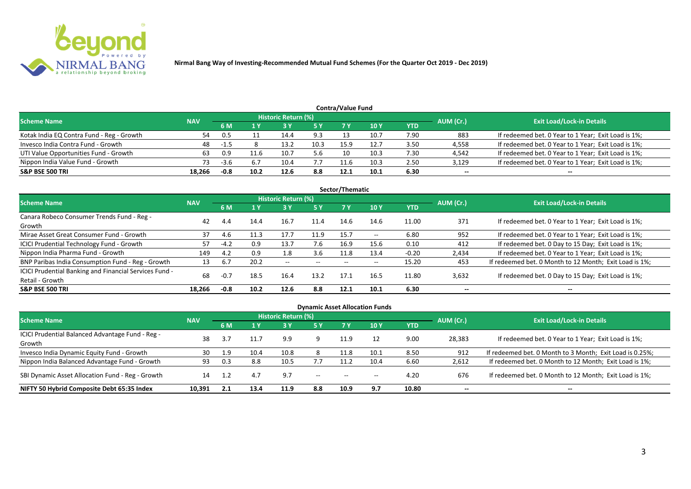

|                                           |            |       |      |                            |      | <b>Contra/Value Fund</b> |      |      |           |                                                     |
|-------------------------------------------|------------|-------|------|----------------------------|------|--------------------------|------|------|-----------|-----------------------------------------------------|
| <b>Scheme Name</b>                        | <b>NAV</b> |       |      | <b>Historic Return (%)</b> |      |                          |      |      | AUM (Cr.) | <b>Exit Load/Lock-in Details</b>                    |
|                                           |            | 6 M   |      |                            | 5 Y  |                          | 10 Y | YTD  |           |                                                     |
| Kotak India EQ Contra Fund - Reg - Growth | 54         | - 0.5 |      | 14.4                       | 9.3  |                          | 10.7 | 7.90 | 883       | If redeemed bet. 0 Year to 1 Year; Exit Load is 1%; |
| Invesco India Contra Fund - Growth        | 48         | -1.5  |      | 13.2                       | 10.3 | 15.9                     | 12.7 | 3.50 | 4,558     | If redeemed bet. 0 Year to 1 Year; Exit Load is 1%; |
| UTI Value Opportunities Fund - Growth     | 63         | 0.9   |      | 10.7                       | 5.6  |                          | 10.3 | 7.30 | 4,542     | If redeemed bet. 0 Year to 1 Year; Exit Load is 1%; |
| Nippon India Value Fund - Growth          | 73         | -3.6  |      | 10.4                       | 7.7  | 11.6                     | 10.3 | 2.50 | 3,129     | If redeemed bet. 0 Year to 1 Year; Exit Load is 1%; |
| <b>S&amp;P BSE 500 TRI</b>                | 18.266     | -0.8  | 10.2 | 12.6                       | 8.8  | 12.1                     | 10.1 | 6.30 | --        | --                                                  |

|                                                        |            |        |      |                     |       | Sector/Thematic |       |            |           |                                                        |
|--------------------------------------------------------|------------|--------|------|---------------------|-------|-----------------|-------|------------|-----------|--------------------------------------------------------|
| <b>Scheme Name</b>                                     | <b>NAV</b> |        |      | Historic Return (%) |       |                 |       |            | AUM (Cr.) | <b>Exit Load/Lock-in Details</b>                       |
|                                                        |            | 6 M    | 1 Y  | 73 Y                | 5 Y   |                 | 10Y   | <b>YTD</b> |           |                                                        |
| Canara Robeco Consumer Trends Fund - Reg -             |            |        |      |                     |       |                 |       |            |           |                                                        |
| Growth                                                 | 42         | 4.4    | 14.4 | 16.7                | 11.4  | 14.6            | 14.6  | 11.00      | 371       | If redeemed bet. 0 Year to 1 Year; Exit Load is 1%;    |
| Mirae Asset Great Consumer Fund - Growth               | 37         | 4.6    | 11.3 | 17.7                | 11.9  | 15.7            | $- -$ | 6.80       | 952       | If redeemed bet. 0 Year to 1 Year; Exit Load is 1%;    |
| <b>ICICI Prudential Technology Fund - Growth</b>       | 57         | $-4.2$ | 0.9  | 13.7                | 7.6   | 16.9            | 15.6  | 0.10       | 412       | If redeemed bet. 0 Day to 15 Day; Exit Load is 1%;     |
| Nippon India Pharma Fund - Growth                      | 149        | 4.2    | 0.9  | 1.8                 | 3.6   | 11.8            | 13.4  | $-0.20$    | 2,434     | If redeemed bet. 0 Year to 1 Year; Exit Load is 1%;    |
| BNP Paribas India Consumption Fund - Reg - Growth      | 13         | -6.7   | 20.2 | $- -$               | $- -$ | $-$             | $- -$ | 15.20      | 453       | If redeemed bet. 0 Month to 12 Month; Exit Load is 1%; |
| ICICI Prudential Banking and Financial Services Fund - | 68         | $-0.7$ | 18.5 | 16.4                | 13.2  | 17.1            | 16.5  |            |           |                                                        |
| Retail - Growth                                        |            |        |      |                     |       |                 |       | 11.80      | 3,632     | If redeemed bet. 0 Day to 15 Day; Exit Load is 1%;     |
| <b>S&amp;P BSE 500 TRI</b>                             | 18.266     | $-0.8$ | 10.2 | 12.6                | 8.8   | 12.1            | 10.1  | 6.30       | --        | $- -$                                                  |

| <b>Dynamic Asset Allocation Funds</b>            |            |      |                       |                            |       |                                       |                          |            |           |                                                          |  |  |  |
|--------------------------------------------------|------------|------|-----------------------|----------------------------|-------|---------------------------------------|--------------------------|------------|-----------|----------------------------------------------------------|--|--|--|
| <b>Scheme Name</b>                               | <b>NAV</b> |      |                       | <b>Historic Return (%)</b> |       |                                       |                          |            | AUM (Cr.) | <b>Exit Load/Lock-in Details</b>                         |  |  |  |
|                                                  |            |      | $\sqrt{1}$ $\sqrt{V}$ |                            | 5 Y   | <b>7Y</b>                             | <b>10Y</b>               | <b>YTD</b> |           |                                                          |  |  |  |
| ICICI Prudential Balanced Advantage Fund - Reg - | 38         | 3.7  |                       | 9.9                        |       |                                       |                          |            |           |                                                          |  |  |  |
| Growth                                           |            |      |                       |                            |       | 11.9                                  | 12                       | 9.00       | 28,383    | If redeemed bet. 0 Year to 1 Year; Exit Load is 1%;      |  |  |  |
| Invesco India Dynamic Equity Fund - Growth       | 30         | -1.9 | 10.4                  | 10.8                       |       | 11.8                                  | 10.1                     | 8.50       | 912       | If redeemed bet. 0 Month to 3 Month; Exit Load is 0.25%; |  |  |  |
| Nippon India Balanced Advantage Fund - Growth    | 93         | 0.3  | 8.8                   | 10.5                       | 7.7   | 11.2                                  | 10.4                     | 6.60       | 2,612     | If redeemed bet. 0 Month to 12 Month; Exit Load is 1%;   |  |  |  |
| SBI Dynamic Asset Allocation Fund - Reg - Growth | 14         |      | 4.7                   | 9.7                        | $- -$ | $\hspace{0.05cm}$ – $\hspace{0.05cm}$ | $\overline{\phantom{a}}$ | 4.20       | 676       | If redeemed bet. 0 Month to 12 Month; Exit Load is 1%;   |  |  |  |
| NIFTY 50 Hybrid Composite Debt 65:35 Index       | 10.391     |      | 13.4                  | 11.9                       | 8.8   | 10.9                                  | 9.7                      | 10.80      | $- -$     | $- -$                                                    |  |  |  |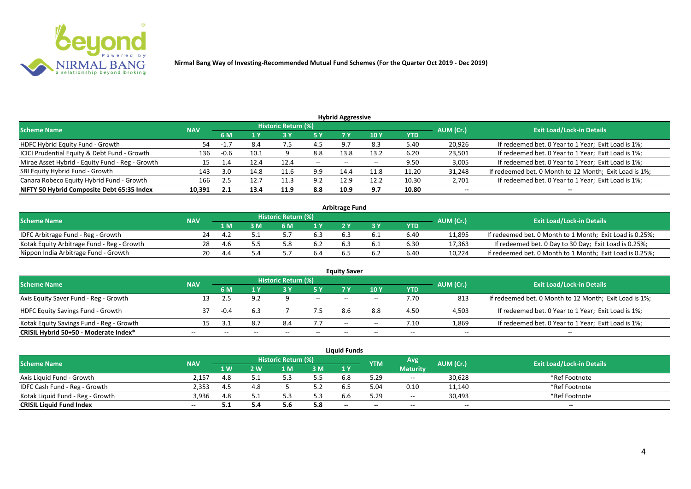

| <b>Hybrid Aggressive</b>                        |            |      |      |                     |       |                          |                 |            |           |                                                        |  |  |  |
|-------------------------------------------------|------------|------|------|---------------------|-------|--------------------------|-----------------|------------|-----------|--------------------------------------------------------|--|--|--|
| <b>Scheme Name</b>                              | <b>NAV</b> |      |      | Historic Return (%) |       |                          |                 |            | AUM (Cr.) | <b>Exit Load/Lock-in Details</b>                       |  |  |  |
|                                                 |            | 6 M  |      |                     | 5 Y   |                          | 10 <sub>1</sub> | <b>YTD</b> |           |                                                        |  |  |  |
| HDFC Hybrid Equity Fund - Growth                | 54         | -1., | 8.4  | ر. ،                | 4.5   | 9.7                      | 8.3             | 5.40       | 20,926    | If redeemed bet. 0 Year to 1 Year; Exit Load is 1%;    |  |  |  |
| ICICI Prudential Equity & Debt Fund - Growth    | 136        | -0.6 | 10.1 |                     | 8.8   | 13.8                     | 13.2            | 6.20       | 23,501    | If redeemed bet. 0 Year to 1 Year; Exit Load is 1%;    |  |  |  |
| Mirae Asset Hybrid - Equity Fund - Reg - Growth | 15         | 1.4  | 12.4 | 12.4                | $- -$ | $\overline{\phantom{a}}$ | $- -$           | 9.50       | 3,005     | If redeemed bet. 0 Year to 1 Year; Exit Load is 1%;    |  |  |  |
| SBI Equity Hybrid Fund - Growth                 | 143        | 3.0  | 14.8 | 11.6                | 9.9   | 14.4                     | 11.8            | 11.20      | 31,248    | If redeemed bet. 0 Month to 12 Month; Exit Load is 1%; |  |  |  |
| Canara Robeco Equity Hybrid Fund - Growth       | 166        |      | 12.7 | 11.3                | 9.2   | 12.9                     | 12.2            | 10.30      | 2,701     | If redeemed bet. 0 Year to 1 Year; Exit Load is 1%;    |  |  |  |
| NIFTY 50 Hybrid Composite Debt 65:35 Index      | 10,391     | 2.1  | 13.4 | 11.9                | 8.8   | 10.9                     | 9.7             | 10.80      | $- -$     | $- -$                                                  |  |  |  |

| <b>Arbitrage Fund</b>                      |            |     |     |                     |     |     |     |      |           |                                                          |  |  |  |
|--------------------------------------------|------------|-----|-----|---------------------|-----|-----|-----|------|-----------|----------------------------------------------------------|--|--|--|
| <b>Scheme Name</b>                         | <b>NAV</b> |     |     | Historic Return (%) |     |     |     |      | AUM (Cr.) | <b>Exit Load/Lock-in Details</b>                         |  |  |  |
|                                            |            | 1 M | . M | ና M                 | 1 V |     |     | YTD  |           |                                                          |  |  |  |
| IDFC Arbitrage Fund - Reg - Growth         | 24         |     |     |                     | 6.3 |     |     | 6.40 | 11,895    | If redeemed bet. 0 Month to 1 Month; Exit Load is 0.25%; |  |  |  |
| Kotak Equity Arbitrage Fund - Reg - Growth | 28         |     |     |                     | 6.2 | 6.3 | b.1 | 6.30 | 17,363    | If redeemed bet. 0 Day to 30 Day; Exit Load is 0.25%;    |  |  |  |
| Nippon India Arbitrage Fund - Growth       |            |     |     |                     |     |     | b.∠ | 6.40 | 10,224    | If redeemed bet. 0 Month to 1 Month; Exit Load is 0.25%; |  |  |  |

| <b>Equity Saver</b><br><b>Historic Return (%)</b><br><b>Exit Load/Lock-in Details</b><br><b>Scheme Name</b><br><b>NAV</b> |    |        |     |  |        |       |            |      |           |                                                        |  |  |  |
|---------------------------------------------------------------------------------------------------------------------------|----|--------|-----|--|--------|-------|------------|------|-----------|--------------------------------------------------------|--|--|--|
|                                                                                                                           |    | 6 M    |     |  | 5 Y    |       | <b>10Y</b> | YTD  | AUM (Cr.) |                                                        |  |  |  |
| Axis Equity Saver Fund - Reg - Growth                                                                                     | 13 |        |     |  | $\sim$ | $- -$ | $- -$      | 7.70 | 813       | If redeemed bet. 0 Month to 12 Month; Exit Load is 1%; |  |  |  |
| <b>HDFC Equity Savings Fund - Growth</b>                                                                                  | 37 | $-0.4$ | 6.3 |  |        |       | 8.8        | 4.50 | 4,503     | If redeemed bet. 0 Year to 1 Year; Exit Load is 1%;    |  |  |  |
| Kotak Equity Savings Fund - Reg - Growth                                                                                  | 15 |        | 8.7 |  | 7.7    | $-$   | $- -$      | 7.10 | 1,869     | If redeemed bet. 0 Year to 1 Year; Exit Load is 1%;    |  |  |  |
| CRISIL Hybrid 50+50 - Moderate Index*                                                                                     | -- |        |     |  | $- -$  | $- -$ | --         | $-$  | $- -$     | $-$                                                    |  |  |  |

|                                  |            |            |       |                            |     | <b>Liquid Funds</b> |            |                 |           |                                  |
|----------------------------------|------------|------------|-------|----------------------------|-----|---------------------|------------|-----------------|-----------|----------------------------------|
| <b>Scheme Name</b>               | <b>NAV</b> |            |       | <b>Historic Return (%)</b> |     |                     | <b>YTM</b> | Avg             | AUM (Cr.) | <b>Exit Load/Lock-in Details</b> |
|                                  |            | <b>1 W</b> | ואי י | 1 M                        | 3 M | 1Y                  |            | <b>Maturity</b> |           |                                  |
| Axis Liguid Fund - Growth        | 2.157      | 4.8        |       |                            | 5.5 |                     | 5.29       | $  \,$          | 30,628    | *Ref Footnote                    |
| IDFC Cash Fund - Reg - Growth    | 2,353      | 4.5        |       |                            | 5.2 |                     | 5.04       | 0.10            | 11,140    | *Ref Footnote                    |
| Kotak Liguid Fund - Reg - Growth | 3,936      | 4.8        |       |                            | 5.3 |                     | 5.29       | $\sim$ $\sim$   | 30,493    | *Ref Footnote                    |
| <b>CRISIL Liquid Fund Index</b>  | $- -$      |            |       | ں ر                        | 5.8 | $-$                 | $- -$      | $-$             | --        | $- -$                            |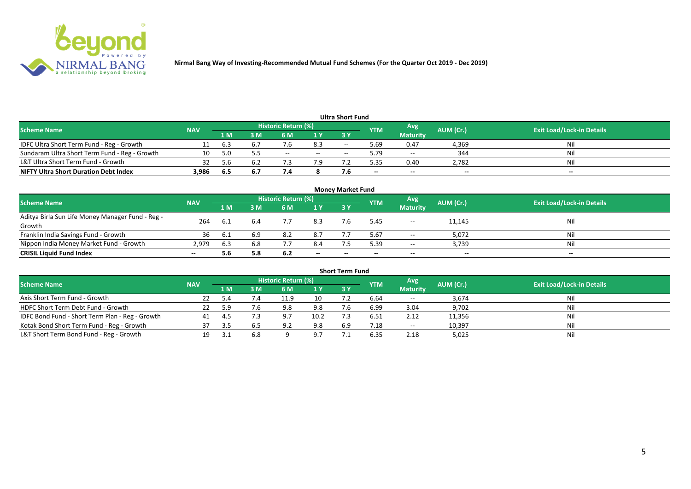

|                                               |            |      |      |                     |       | <b>Ultra Short Fund</b>  |            |                 |           |                                  |
|-----------------------------------------------|------------|------|------|---------------------|-------|--------------------------|------------|-----------------|-----------|----------------------------------|
| <b>Scheme Name</b>                            | <b>NAV</b> |      |      | Historic Return (%) |       |                          | <b>YTM</b> | Avg.            | AUM (Cr.) | <b>Exit Load/Lock-in Details</b> |
|                                               |            | '1 M | . M  | 6 M                 | 1 Y   | 3Y                       |            | <b>Maturity</b> |           |                                  |
| IDFC Ultra Short Term Fund - Reg - Growth     |            | 6.3  | b. / |                     | 8.3   | $- -$                    | 5.69       | 0.47            | 4,369     | Nil                              |
| Sundaram Ultra Short Term Fund - Reg - Growth | 10         | 5.0  |      | $- -$               | $- -$ | $\overline{\phantom{a}}$ | 5.79       | $-$             | 344       | Nil                              |
| L&T Ultra Short Term Fund - Growth            | 32         | 5.6  | 6.2  |                     | 7.9   |                          | 35.ر       | 0.40            | 2,782     | Nil                              |
| <b>NIFTY Ultra Short Duration Debt Index</b>  | 3,986      | -6.5 | 6.7  | , 4                 |       |                          | $\sim$     | $- -$           | $- -$     | $- -$                            |

| <b>Money Market Fund</b>                         |            |      |     |                            |       |    |            |                 |           |                                  |  |  |  |
|--------------------------------------------------|------------|------|-----|----------------------------|-------|----|------------|-----------------|-----------|----------------------------------|--|--|--|
| <b>Scheme Name</b>                               | <b>NAV</b> |      |     | <b>Historic Return (%)</b> |       |    | <b>YTM</b> | Avg.            | AUM (Cr.) | <b>Exit Load/Lock-in Details</b> |  |  |  |
|                                                  |            | 1 M  | MК  | 6 M                        | 1Y    | 3Y |            | <b>Maturity</b> |           |                                  |  |  |  |
| Aditya Birla Sun Life Money Manager Fund - Reg - | 264        |      |     |                            |       |    | 45.د       | $\sim$          | 11,145    | Nil                              |  |  |  |
| Growth                                           |            | b.1  | b.4 |                            | 8.3   |    |            |                 |           |                                  |  |  |  |
| Franklin India Savings Fund - Growth             | 36         | -6.1 | 6.9 | 8.2                        | 8.7   |    | 5.67       | $\sim$          | 5,072     | Nil                              |  |  |  |
| Nippon India Money Market Fund - Growth          | 2,979      | 6.3  | 6.8 |                            | 8.4   |    | 5.39       | $- -$           | 3,739     | Ni                               |  |  |  |
| <b>CRISIL Liquid Fund Index</b>                  | $- -$      | 5.6  | 5.8 | 6.2                        | $- -$ | -- | $- -$      | $- -$           | $- -$     | $- -$                            |  |  |  |

| <b>Short Term Fund</b>                          |            |     |     |                            |      |     |            |                 |           |                                  |  |  |  |  |
|-------------------------------------------------|------------|-----|-----|----------------------------|------|-----|------------|-----------------|-----------|----------------------------------|--|--|--|--|
| <b>Scheme Name</b>                              | <b>NAV</b> |     |     | <b>Historic Return (%)</b> |      |     | <b>YTM</b> | Avg.            | AUM (Cr.) | <b>Exit Load/Lock-in Details</b> |  |  |  |  |
|                                                 |            | 1 M | 3 M | 6 M                        | 71 Y | 3 Y |            | <b>Maturity</b> |           |                                  |  |  |  |  |
| Axis Short Term Fund - Growth                   |            |     | 7.4 | 11.9                       | 10   |     | 6.64       | $--$            | 3,674     | Nil                              |  |  |  |  |
| HDFC Short Term Debt Fund - Growth              |            |     |     | 9.8                        | 9.8  |     | 6.99       | 3.04            | 9,702     | Nil                              |  |  |  |  |
| IDFC Bond Fund - Short Term Plan - Reg - Growth | 41         |     |     | 9.7                        | 10.2 |     | 6.51       | 2.12            | 11,356    | Nil                              |  |  |  |  |
| Kotak Bond Short Term Fund - Reg - Growth       |            |     |     |                            | 9.8  | 6.9 | 7.18       | $  \,$          | 10,397    | Nil                              |  |  |  |  |
| L&T Short Term Bond Fund - Reg - Growth         |            |     |     |                            | 9.7  |     | 6.35       | 2.18            | 5,025     | Nil                              |  |  |  |  |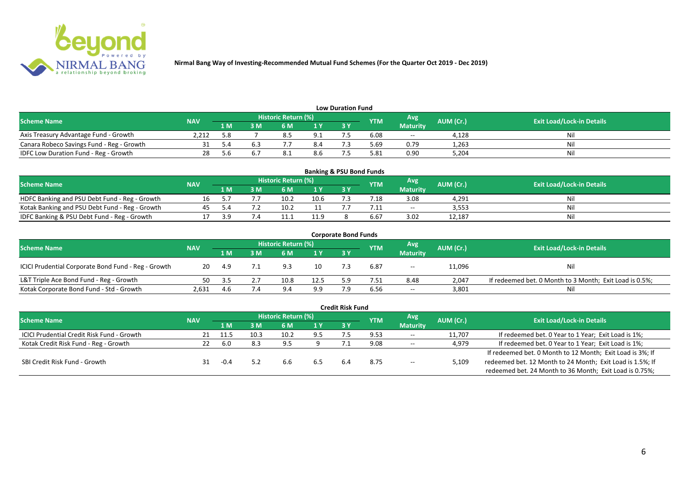

| <b>Low Duration Fund</b>                  |            |     |    |                            |                |    |            |                 |           |                                  |  |  |  |  |
|-------------------------------------------|------------|-----|----|----------------------------|----------------|----|------------|-----------------|-----------|----------------------------------|--|--|--|--|
| <b>Scheme Name</b>                        | <b>NAV</b> |     |    | <b>Historic Return (%)</b> |                |    | <b>YTM</b> | Avg             | AUM (Cr.) | <b>Exit Load/Lock-in Details</b> |  |  |  |  |
|                                           |            | 1 M | BΜ |                            | 1 <sub>Y</sub> | 3Y |            | <b>Maturity</b> |           |                                  |  |  |  |  |
| Axis Treasury Advantage Fund - Growth     | 2.212      | 5.8 |    | د.ه                        | 9.1            |    | 6.08       | $\sim$ $\sim$   | 4.128     | Ni                               |  |  |  |  |
| Canara Robeco Savings Fund - Reg - Growth |            |     |    |                            | 8.4            |    | 5.69       | 0.79            | 1,263     | IΝI                              |  |  |  |  |
| IDFC Low Duration Fund - Reg - Growth     | 28         |     |    | ـ . ٥                      | 8.b            |    | 5.81       | 0.90            | 5,204     | Ni                               |  |  |  |  |

| <b>Banking &amp; PSU Bond Funds</b>                                                                                           |  |     |     |     |      |     |      |                 |        |     |  |  |  |
|-------------------------------------------------------------------------------------------------------------------------------|--|-----|-----|-----|------|-----|------|-----------------|--------|-----|--|--|--|
| Historic Return (%)<br>Avg<br>AUM (Cr.)<br><b>Exit Load/Lock-in Details</b><br><b>Scheme Name</b><br><b>NAV</b><br><b>YTM</b> |  |     |     |     |      |     |      |                 |        |     |  |  |  |
|                                                                                                                               |  | 1 M | I M | 6 M |      | 3 Y |      | <b>Maturity</b> |        |     |  |  |  |
| HDFC Banking and PSU Debt Fund - Reg - Growth                                                                                 |  |     |     |     | 10.6 |     | .18  | 3.08            | 4,291  | Ni  |  |  |  |
| Kotak Banking and PSU Debt Fund - Reg - Growth                                                                                |  |     |     |     |      |     |      | $- -$           | 3,553  | Ni  |  |  |  |
| IDFC Banking & PSU Debt Fund - Reg - Growth                                                                                   |  | эa  |     |     | 11.9 |     | 6.67 | 3.02            | 12,187 | Nil |  |  |  |

| <b>Corporate Bond Funds</b>                         |            |      |     |                     |                |           |            |                 |           |                                                         |  |  |  |  |
|-----------------------------------------------------|------------|------|-----|---------------------|----------------|-----------|------------|-----------------|-----------|---------------------------------------------------------|--|--|--|--|
| <b>Scheme Name</b>                                  | <b>NAV</b> |      |     | Historic Return (%) |                |           | <b>YTM</b> | Avg             | AUM (Cr.) | <b>Exit Load/Lock-in Details</b>                        |  |  |  |  |
|                                                     |            | 1 M  | 3 M | 6 M                 | 1 <sup>Y</sup> | <b>3Y</b> |            | <b>Maturity</b> |           |                                                         |  |  |  |  |
| ICICI Prudential Corporate Bond Fund - Reg - Growth | 20         | -4.9 |     | 9.3                 | 10             |           | 6.87       | $- -$           | 11,096    | Nil                                                     |  |  |  |  |
| L&T Triple Ace Bond Fund - Reg - Growth             | 50         |      |     | 10.8                | 12.5           |           | 7.51       | 8.48            | 2,047     | If redeemed bet. 0 Month to 3 Month; Exit Load is 0.5%; |  |  |  |  |
| Kotak Corporate Bond Fund - Std - Growth            | 2,631      | 4.6  |     | $Q$ $\Lambda$       | 9.9            |           | 6.56       | $- -$           | 3,801     | Nil                                                     |  |  |  |  |

|                                            |            |        |      |                     |     | <b>Credit Risk Fund</b> |            |                 |           |                                                           |
|--------------------------------------------|------------|--------|------|---------------------|-----|-------------------------|------------|-----------------|-----------|-----------------------------------------------------------|
| <b>Scheme Name</b>                         | <b>NAV</b> |        |      | Historic Return (%) |     |                         | <b>YTM</b> | Avg             | AUM (Cr.) | <b>Exit Load/Lock-in Details</b>                          |
|                                            |            | 1 M.   | ١M   | 6 M                 | 1 Y | 3Y                      |            | <b>Maturity</b> |           |                                                           |
| ICICI Prudential Credit Risk Fund - Growth | 21         | -11.5  | 10.3 | 10.2                | 9.5 |                         | 9.53       | $\sim$          | 11,707    | If redeemed bet. 0 Year to 1 Year; Exit Load is 1%;       |
| Kotak Credit Risk Fund - Reg - Growth      |            | 6.0    | 8.3  | 9.5                 |     |                         | 9.08       | $\sim$ $\sim$   | 4,979     | If redeemed bet. 0 Year to 1 Year; Exit Load is 1%;       |
|                                            |            |        |      |                     |     |                         |            |                 |           | If redeemed bet. 0 Month to 12 Month; Exit Load is 3%; If |
| SBI Credit Risk Fund - Growth              |            | $-0.4$ |      | b.b                 | 6.5 |                         | 8.75       | $- -$           | 5,109     | redeemed bet. 12 Month to 24 Month; Exit Load is 1.5%; If |
|                                            |            |        |      |                     |     |                         |            |                 |           | redeemed bet. 24 Month to 36 Month; Exit Load is 0.75%;   |